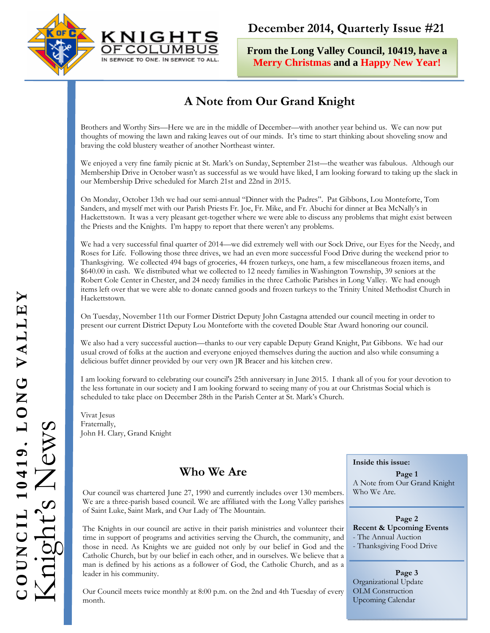



**From the Long Valley Council, 10419, have a Merry Christmas and a Happy New Year!**

# **A Note from Our Grand Knight**

Brothers and Worthy Sirs—Here we are in the middle of December—with another year behind us. We can now put thoughts of mowing the lawn and raking leaves out of our minds. It's time to start thinking about shoveling snow and braving the cold blustery weather of another Northeast winter.

We enjoyed a very fine family picnic at St. Mark's on Sunday, September 21st—the weather was fabulous. Although our Membership Drive in October wasn't as successful as we would have liked, I am looking forward to taking up the slack in our Membership Drive scheduled for March 21st and 22nd in 2015.

On Monday, October 13th we had our semi-annual "Dinner with the Padres". Pat Gibbons, Lou Monteforte, Tom Sanders, and myself met with our Parish Priests Fr. Joe, Fr. Mike, and Fr. Abuchi for dinner at Bea McNally's in Hackettstown. It was a very pleasant get-together where we were able to discuss any problems that might exist between the Priests and the Knights. I'm happy to report that there weren't any problems.

We had a very successful final quarter of 2014—we did extremely well with our Sock Drive, our Eyes for the Needy, and Roses for Life. Following those three drives, we had an even more successful Food Drive during the weekend prior to Thanksgiving. We collected 494 bags of groceries, 44 frozen turkeys, one ham, a few miscellaneous frozen items, and \$640.00 in cash. We distributed what we collected to 12 needy families in Washington Township, 39 seniors at the Robert Cole Center in Chester, and 24 needy families in the three Catholic Parishes in Long Valley. We had enough items left over that we were able to donate canned goods and frozen turkeys to the Trinity United Methodist Church in Hackettstown.

On Tuesday, November 11th our Former District Deputy John Castagna attended our council meeting in order to present our current District Deputy Lou Monteforte with the coveted Double Star Award honoring our council.

We also had a very successful auction—thanks to our very capable Deputy Grand Knight, Pat Gibbons. We had our usual crowd of folks at the auction and everyone enjoyed themselves during the auction and also while consuming a delicious buffet dinner provided by our very own JR Bracer and his kitchen crew.

I am looking forward to celebrating our council's 25th anniversary in June 2015. I thank all of you for your devotion to the less fortunate in our society and I am looking forward to seeing many of you at our Christmas Social which is scheduled to take place on December 28th in the Parish Center at St. Mark's Church.

Vivat Jesus Fraternally, John H. Clary, Grand Knight

# **Who We Are**

Our council was chartered June 27, 1990 and currently includes over 130 members. We are a three-parish based council. We are affiliated with the Long Valley parishes of Saint Luke, Saint Mark, and Our Lady of The Mountain.

The Knights in our council are active in their parish ministries and volunteer their time in support of programs and activities serving the Church, the community, and those in need. As Knights we are guided not only by our belief in God and the Catholic Church, but by our belief in each other, and in ourselves. We believe that a man is defined by his actions as a follower of God, the Catholic Church, and as a leader in his community.

Our Council meets twice monthly at 8:00 p.m. on the 2nd and 4th Tuesday of every month.

#### **Inside this issue:**

**Page 1**  A Note from Our Grand Knight Who We Are.

#### **Page 2**

**Recent & Upcoming Events**  - The Annual Auction

- Thanksgiving Food Drive

**Page 3**  Organizational Update OLM Construction Upcoming Calendar

# COUNCIL 10419. LONG VALLEY **COUNCIL 10419, LONG VALLEY** Knight's News ews  $(ghtS)$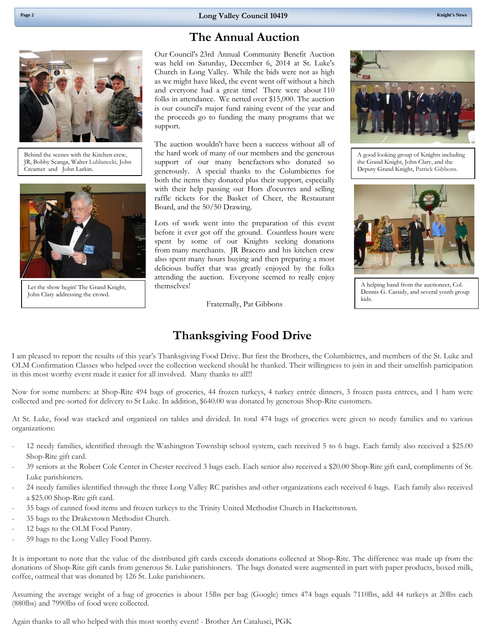# **The Annual Auction**

Behind the scenes with the Kitchen crew, JR, Bobby Scanga, Walter Lublanecki, John Creamer and John Larkin.



Let the show begin! The Grand Knight, John Clary addressing the crowd.

Our Council's 23rd Annual Community Benefit Auction was held on Saturday, December 6, 2014 at St. Luke's Church in Long Valley. While the bids were not as high as we might have liked, the event went off without a hitch and everyone had a great time! There were about 110 folks in attendance. We netted over \$15,000. The auction is our council's major fund raising event of the year and the proceeds go to funding the many programs that we support.

The auction wouldn't have been a success without all of the hard work of many of our members and the generous support of our many benefactors who donated so generously. A special thanks to the Columbiettes for both the items they donated plus their support, especially with their help passing out Hors d'oeuvres and selling raffle tickets for the Basket of Cheer, the Restaurant Board, and the 50/50 Drawing.

Lots of work went into the preparation of this event before it ever got off the ground. Countless hours were spent by some of our Knights seeking donations from many merchants. JR Bracero and his kitchen crew also spent many hours buying and then preparing a most delicious buffet that was greatly enjoyed by the folks attending the auction. Everyone seemed to really enjoy themselves!

Fraternally, Pat Gibbons



A good looking group of Knights including the Grand Knight, John Clary, and the Deputy Grand Knight, Patrick Gibbons.



A helping hand from the auctioneer, Col. Dennis G. Cassidy, and several youth group kids.

# **Thanksgiving Food Drive**

 OLM Confirmation Classes who helped over the collection weekend should be thanked. Their willingness to join in and their unselfish participation I am pleased to report the results of this year's Thanksgiving Food Drive. But first the Brothers, the Columbiettes, and members of the St. Luke and in this most worthy event made it easier for all involved. Many thanks to all!!!

Now for some numbers: at Shop-Rite 494 bags of groceries, 44 frozen turkeys, 4 turkey entrée dinners, 3 frozen pasta entrees, and 1 ham were collected and pre-sorted for delivery to St Luke. In addition, \$640.00 was donated by generous Shop-Rite customers.

At St. Luke, food was stacked and organized on tables and divided. In total 474 bags of groceries were given to needy families and to various organizations:

- 12 needy families, identified through the Washington Township school system, each received 5 to 6 bags. Each family also received a \$25.00 Shop-Rite gift card.
- 39 seniors at the Robert Cole Center in Chester received 3 bags each. Each senior also received a \$20.00 Shop-Rite gift card, compliments of St. Luke parishioners.
- 24 needy families identified through the three Long Valley RC parishes and other organizations each received 6 bags. Each family also received a \$25.00 Shop-Rite gift card.
- 35 bags of canned food items and frozen turkeys to the Trinity United Methodist Church in Hackettstown.
- 35 bags to the Drakestown Methodist Church.
- 12 bags to the OLM Food Pantry.
- 59 bags to the Long Valley Food Pantry.

It is important to note that the value of the distributed gift cards exceeds donations collected at Shop-Rite. The difference was made up from the donations of Shop-Rite gift cards from generous St. Luke parishioners. The bags donated were augmented in part with paper products, boxed milk, coffee, oatmeal that was donated by 126 St. Luke parishioners.

Assuming the average weight of a bag of groceries is about 15lbs per bag (Google) times 474 bags equals 7110lbs, add 44 turkeys at 20lbs each (880lbs) and 7990lbs of food were collected.

Again thanks to all who helped with this most worthy event! - Brother Art Catalusci, PGK